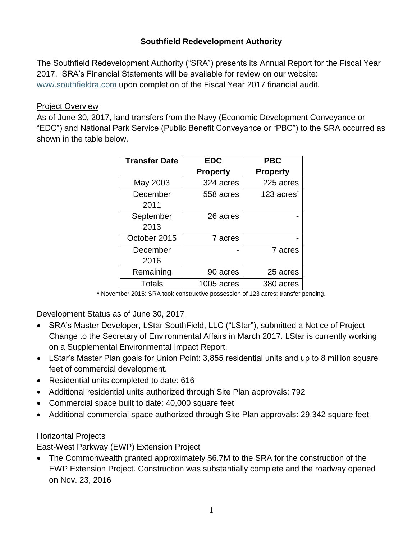## **Southfield Redevelopment Authority**

The Southfield Redevelopment Authority ("SRA") presents its Annual Report for the Fiscal Year 2017. SRA's Financial Statements will be available for review on our website: [www.southfieldra.com](http://www.southfieldra.com/) upon completion of the Fiscal Year 2017 financial audit.

#### Project Overview

As of June 30, 2017, land transfers from the Navy (Economic Development Conveyance or "EDC") and National Park Service (Public Benefit Conveyance or "PBC") to the SRA occurred as shown in the table below.

| <b>Transfer Date</b> | <b>EDC</b>      | <b>PBC</b>             |  |
|----------------------|-----------------|------------------------|--|
|                      | <b>Property</b> | <b>Property</b>        |  |
| May 2003             | 324 acres       | 225 acres              |  |
| December             | 558 acres       | 123 acres <sup>®</sup> |  |
| 2011                 |                 |                        |  |
| September            | 26 acres        |                        |  |
| 2013                 |                 |                        |  |
| October 2015         | 7 acres         |                        |  |
| December             |                 | 7 acres                |  |
| 2016                 |                 |                        |  |
| Remaining            | 90 acres        | 25 acres               |  |
| <b>Totals</b>        | 1005 acres      | 380 acres              |  |

\* November 2016: SRA took constructive possession of 123 acres; transfer pending.

Development Status as of June 30, 2017

- SRA's Master Developer, LStar SouthField, LLC ("LStar"), submitted a Notice of Project Change to the Secretary of Environmental Affairs in March 2017. LStar is currently working on a Supplemental Environmental Impact Report.
- LStar's Master Plan goals for Union Point: 3,855 residential units and up to 8 million square feet of commercial development.
- Residential units completed to date: 616
- Additional residential units authorized through Site Plan approvals: 792
- Commercial space built to date: 40,000 square feet
- Additional commercial space authorized through Site Plan approvals: 29,342 square feet

#### Horizontal Projects

East-West Parkway (EWP) Extension Project

• The Commonwealth granted approximately \$6.7M to the SRA for the construction of the EWP Extension Project. Construction was substantially complete and the roadway opened on Nov. 23, 2016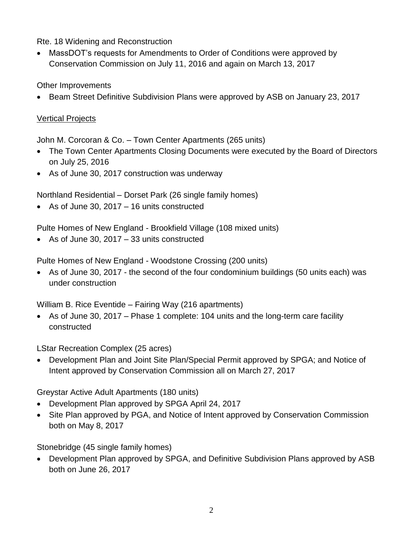Rte. 18 Widening and Reconstruction

• MassDOT's requests for Amendments to Order of Conditions were approved by Conservation Commission on July 11, 2016 and again on March 13, 2017

Other Improvements

• Beam Street Definitive Subdivision Plans were approved by ASB on January 23, 2017

# Vertical Projects

John M. Corcoran & Co. – Town Center Apartments (265 units)

- The Town Center Apartments Closing Documents were executed by the Board of Directors on July 25, 2016
- As of June 30, 2017 construction was underway

Northland Residential – Dorset Park (26 single family homes)

• As of June 30, 2017 – 16 units constructed

Pulte Homes of New England - Brookfield Village (108 mixed units)

• As of June 30, 2017 – 33 units constructed

Pulte Homes of New England - Woodstone Crossing (200 units)

• As of June 30, 2017 - the second of the four condominium buildings (50 units each) was under construction

William B. Rice Eventide – Fairing Way (216 apartments)

• As of June 30, 2017 – Phase 1 complete: 104 units and the long-term care facility constructed

LStar Recreation Complex (25 acres)

• Development Plan and Joint Site Plan/Special Permit approved by SPGA; and Notice of Intent approved by Conservation Commission all on March 27, 2017

Greystar Active Adult Apartments (180 units)

- Development Plan approved by SPGA April 24, 2017
- Site Plan approved by PGA, and Notice of Intent approved by Conservation Commission both on May 8, 2017

Stonebridge (45 single family homes)

• Development Plan approved by SPGA, and Definitive Subdivision Plans approved by ASB both on June 26, 2017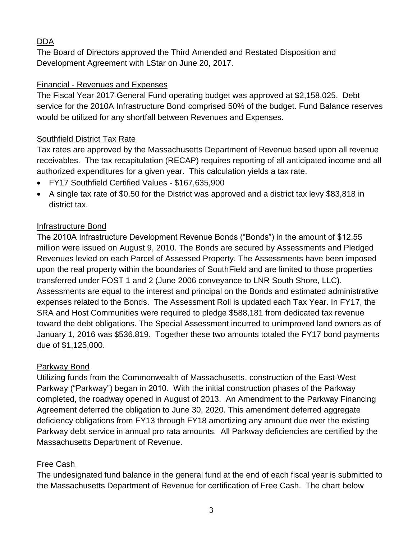## DDA

The Board of Directors approved the Third Amended and Restated Disposition and Development Agreement with LStar on June 20, 2017.

### Financial - Revenues and Expenses

The Fiscal Year 2017 General Fund operating budget was approved at \$2,158,025. Debt service for the 2010A Infrastructure Bond comprised 50% of the budget. Fund Balance reserves would be utilized for any shortfall between Revenues and Expenses.

### Southfield District Tax Rate

Tax rates are approved by the Massachusetts Department of Revenue based upon all revenue receivables. The tax recapitulation (RECAP) requires reporting of all anticipated income and all authorized expenditures for a given year. This calculation yields a tax rate.

- FY17 Southfield Certified Values \$167,635,900
- A single tax rate of \$0.50 for the District was approved and a district tax levy \$83,818 in district tax.

#### Infrastructure Bond

The 2010A Infrastructure Development Revenue Bonds ("Bonds") in the amount of \$12.55 million were issued on August 9, 2010. The Bonds are secured by Assessments and Pledged Revenues levied on each Parcel of Assessed Property. The Assessments have been imposed upon the real property within the boundaries of SouthField and are limited to those properties transferred under FOST 1 and 2 (June 2006 conveyance to LNR South Shore, LLC). Assessments are equal to the interest and principal on the Bonds and estimated administrative expenses related to the Bonds. The Assessment Roll is updated each Tax Year. In FY17, the SRA and Host Communities were required to pledge \$588,181 from dedicated tax revenue toward the debt obligations. The Special Assessment incurred to unimproved land owners as of January 1, 2016 was \$536,819. Together these two amounts totaled the FY17 bond payments due of \$1,125,000.

#### Parkway Bond

Utilizing funds from the Commonwealth of Massachusetts, construction of the East-West Parkway ("Parkway") began in 2010. With the initial construction phases of the Parkway completed, the roadway opened in August of 2013. An Amendment to the Parkway Financing Agreement deferred the obligation to June 30, 2020. This amendment deferred aggregate deficiency obligations from FY13 through FY18 amortizing any amount due over the existing Parkway debt service in annual pro rata amounts. All Parkway deficiencies are certified by the Massachusetts Department of Revenue.

## Free Cash

The undesignated fund balance in the general fund at the end of each fiscal year is submitted to the Massachusetts Department of Revenue for certification of Free Cash. The chart below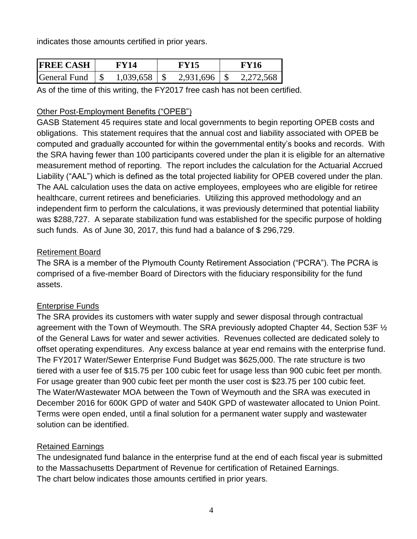indicates those amounts certified in prior years.

| <b>IFREE CASH</b>   | FY14      | FV15      | FY16            |
|---------------------|-----------|-----------|-----------------|
| <b>General Fund</b> | 1,039,658 | 2,931,696 | $T$ $T$ $T$ $T$ |

As of the time of this writing, the FY2017 free cash has not been certified.

## Other Post-Employment Benefits ("OPEB")

GASB Statement 45 requires state and local governments to begin reporting OPEB costs and obligations. This statement requires that the annual cost and liability associated with OPEB be computed and gradually accounted for within the governmental entity's books and records. With the SRA having fewer than 100 participants covered under the plan it is eligible for an alternative measurement method of reporting. The report includes the calculation for the Actuarial Accrued Liability ("AAL") which is defined as the total projected liability for OPEB covered under the plan. The AAL calculation uses the data on active employees, employees who are eligible for retiree healthcare, current retirees and beneficiaries. Utilizing this approved methodology and an independent firm to perform the calculations, it was previously determined that potential liability was \$288,727. A separate stabilization fund was established for the specific purpose of holding such funds. As of June 30, 2017, this fund had a balance of \$ 296,729.

## Retirement Board

The SRA is a member of the Plymouth County Retirement Association ("PCRA"). The PCRA is comprised of a five-member Board of Directors with the fiduciary responsibility for the fund assets.

## Enterprise Funds

The SRA provides its customers with water supply and sewer disposal through contractual agreement with the Town of Weymouth. The SRA previously adopted Chapter 44, Section 53F ½ of the General Laws for water and sewer activities. Revenues collected are dedicated solely to offset operating expenditures. Any excess balance at year end remains with the enterprise fund. The FY2017 Water/Sewer Enterprise Fund Budget was \$625,000. The rate structure is two tiered with a user fee of \$15.75 per 100 cubic feet for usage less than 900 cubic feet per month. For usage greater than 900 cubic feet per month the user cost is \$23.75 per 100 cubic feet. The Water/Wastewater MOA between the Town of Weymouth and the SRA was executed in December 2016 for 600K GPD of water and 540K GPD of wastewater allocated to Union Point. Terms were open ended, until a final solution for a permanent water supply and wastewater solution can be identified.

## Retained Earnings

The undesignated fund balance in the enterprise fund at the end of each fiscal year is submitted to the Massachusetts Department of Revenue for certification of Retained Earnings. The chart below indicates those amounts certified in prior years.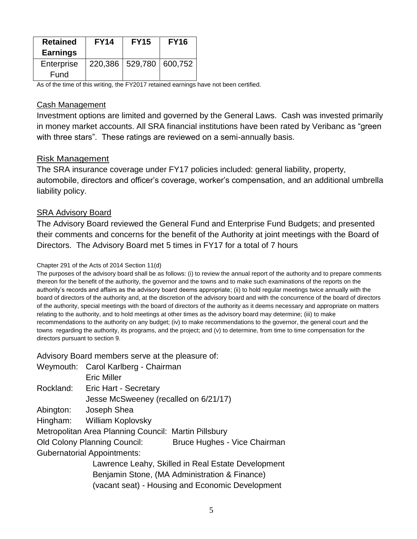| <b>Retained</b> | <b>FY14</b> | <b>FY15</b>                 | <b>FY16</b> |
|-----------------|-------------|-----------------------------|-------------|
| <b>Earnings</b> |             |                             |             |
| Enterprise      |             | 220,386   529,780   600,752 |             |
| Fund            |             |                             |             |

As of the time of this writing, the FY2017 retained earnings have not been certified.

#### Cash Management

Investment options are limited and governed by the General Laws. Cash was invested primarily in money market accounts. All SRA financial institutions have been rated by Veribanc as "green with three stars". These ratings are reviewed on a semi-annually basis.

#### Risk Management

The SRA insurance coverage under FY17 policies included: general liability, property, automobile, directors and officer's coverage, worker's compensation, and an additional umbrella liability policy.

#### SRA Advisory Board

The Advisory Board reviewed the General Fund and Enterprise Fund Budgets; and presented their comments and concerns for the benefit of the Authority at joint meetings with the Board of Directors. The Advisory Board met 5 times in FY17 for a total of 7 hours

#### Chapter 291 of the Acts of 2014 Section 11(d)

The purposes of the advisory board shall be as follows: (i) to review the annual report of the authority and to prepare comments thereon for the benefit of the authority, the governor and the towns and to make such examinations of the reports on the authority's records and affairs as the advisory board deems appropriate; (ii) to hold regular meetings twice annually with the board of directors of the authority and, at the discretion of the advisory board and with the concurrence of the board of directors of the authority, special meetings with the board of directors of the authority as it deems necessary and appropriate on matters relating to the authority, and to hold meetings at other times as the advisory board may determine; (iii) to make recommendations to the authority on any budget; (iv) to make recommendations to the governor, the general court and the towns regarding the authority, its programs, and the project; and (v) to determine, from time to time compensation for the directors pursuant to section 9.

Advisory Board members serve at the pleasure of:

Weymouth: Carol Karlberg - Chairman Eric Miller Rockland: Eric Hart - Secretary Jesse McSweeney (recalled on 6/21/17) Abington: Joseph Shea Hingham: William Koplovsky Metropolitan Area Planning Council: Martin Pillsbury Old Colony Planning Council: Bruce Hughes - Vice Chairman Gubernatorial Appointments: Lawrence Leahy, Skilled in Real Estate Development Benjamin Stone, (MA Administration & Finance)

(vacant seat) - Housing and Economic Development